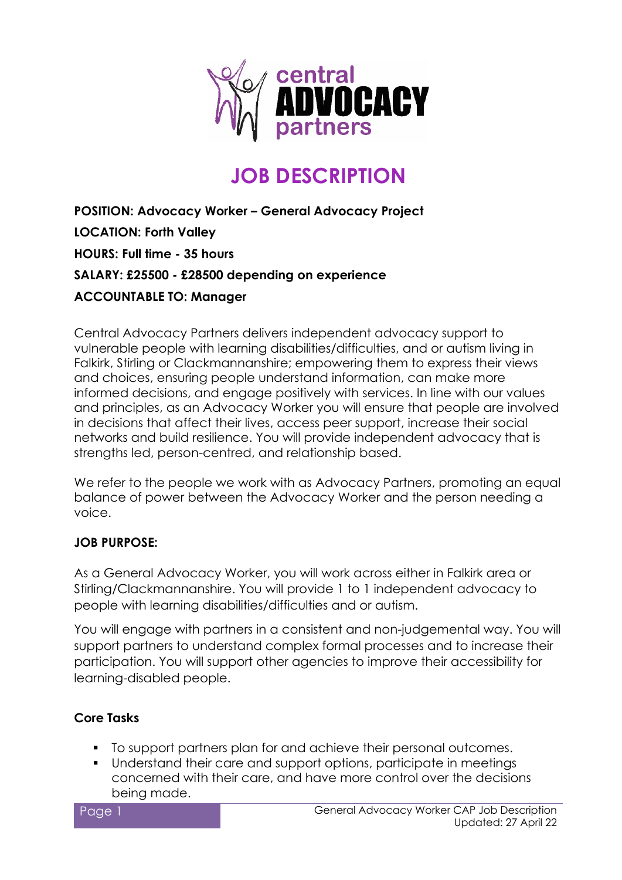

# **JOB DESCRIPTION**

**POSITION: Advocacy Worker – General Advocacy Project LOCATION: Forth Valley HOURS: Full time - 35 hours SALARY: £25500 - £28500 depending on experience ACCOUNTABLE TO: Manager**

Central Advocacy Partners delivers independent advocacy support to vulnerable people with learning disabilities/difficulties, and or autism living in Falkirk, Stirling or Clackmannanshire; empowering them to express their views and choices, ensuring people understand information, can make more informed decisions, and engage positively with services. In line with our values and principles, as an Advocacy Worker you will ensure that people are involved in decisions that affect their lives, access peer support, increase their social networks and build resilience. You will provide independent advocacy that is strengths led, person-centred, and relationship based.

We refer to the people we work with as Advocacy Partners, promoting an equal balance of power between the Advocacy Worker and the person needing a voice.

# **JOB PURPOSE:**

As a General Advocacy Worker, you will work across either in Falkirk area or Stirling/Clackmannanshire. You will provide 1 to 1 independent advocacy to people with learning disabilities/difficulties and or autism.

You will engage with partners in a consistent and non-judgemental way. You will support partners to understand complex formal processes and to increase their participation. You will support other agencies to improve their accessibility for learning-disabled people.

## **Core Tasks**

- $\blacksquare$  To support partners plan for and achieve their personal outcomes.
- Understand their care and support options, participate in meetings concerned with their care, and have more control over the decisions being made.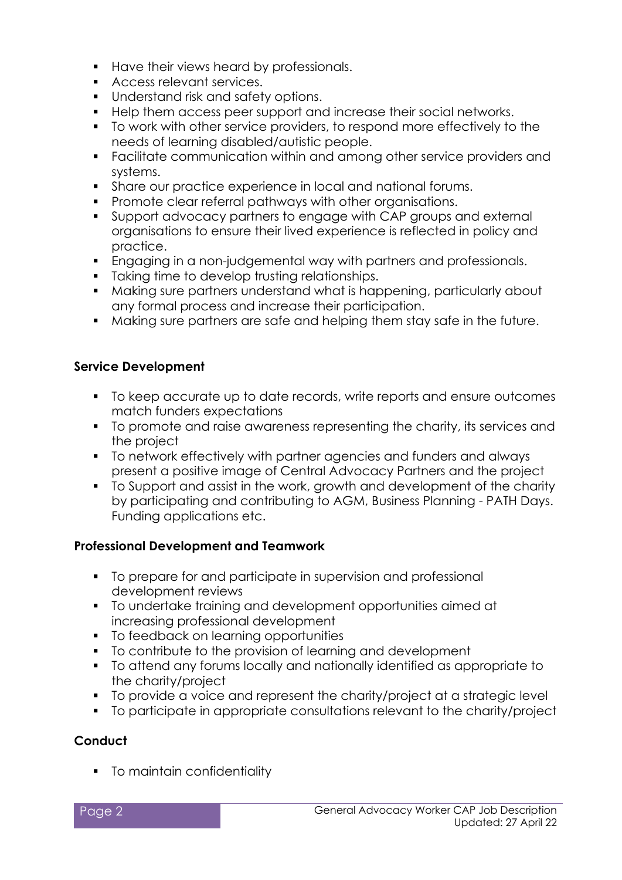- Have their views heard by professionals.
- **Access relevant services.**
- **Understand risk and safety options.**
- Help them access peer support and increase their social networks.
- To work with other service providers, to respond more effectively to the needs of learning disabled/autistic people.
- Facilitate communication within and among other service providers and systems.
- Share our practice experience in local and national forums.
- **Promote clear referral pathways with other organisations.**
- Support advocacy partners to engage with CAP groups and external organisations to ensure their lived experience is reflected in policy and practice.
- Engaging in a non-judgemental way with partners and professionals.
- **Taking time to develop trusting relationships.**
- Making sure partners understand what is happening, particularly about any formal process and increase their participation.
- Making sure partners are safe and helping them stay safe in the future.

#### **Service Development**

- To keep accurate up to date records, write reports and ensure outcomes match funders expectations
- To promote and raise awareness representing the charity, its services and the project
- To network effectively with partner agencies and funders and always present a positive image of Central Advocacy Partners and the project
- To Support and assist in the work, growth and development of the charity by participating and contributing to AGM, Business Planning - PATH Days. Funding applications etc.

## **Professional Development and Teamwork**

- $\blacksquare$  To prepare for and participate in supervision and professional development reviews
- To undertake training and development opportunities aimed at increasing professional development
- To feedback on learning opportunities
- To contribute to the provision of learning and development
- To attend any forums locally and nationally identified as appropriate to the charity/project
- To provide a voice and represent the charity/project at a strategic level
- To participate in appropriate consultations relevant to the charity/project

## **Conduct**

**To maintain confidentiality**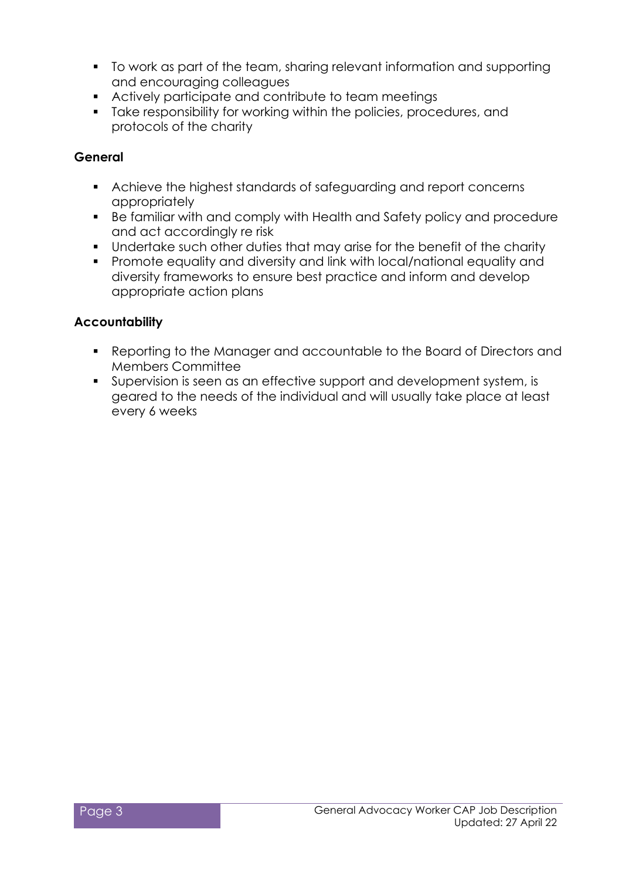- To work as part of the team, sharing relevant information and supporting and encouraging colleagues
- Actively participate and contribute to team meetings
- Take responsibility for working within the policies, procedures, and protocols of the charity

#### **General**

- Achieve the highest standards of safeguarding and report concerns appropriately
- Be familiar with and comply with Health and Safety policy and procedure and act accordingly re risk
- **Undertake such other duties that may arise for the benefit of the charity**
- Promote equality and diversity and link with local/national equality and diversity frameworks to ensure best practice and inform and develop appropriate action plans

#### **Accountability**

- Reporting to the Manager and accountable to the Board of Directors and Members Committee
- Supervision is seen as an effective support and development system, is geared to the needs of the individual and will usually take place at least every 6 weeks